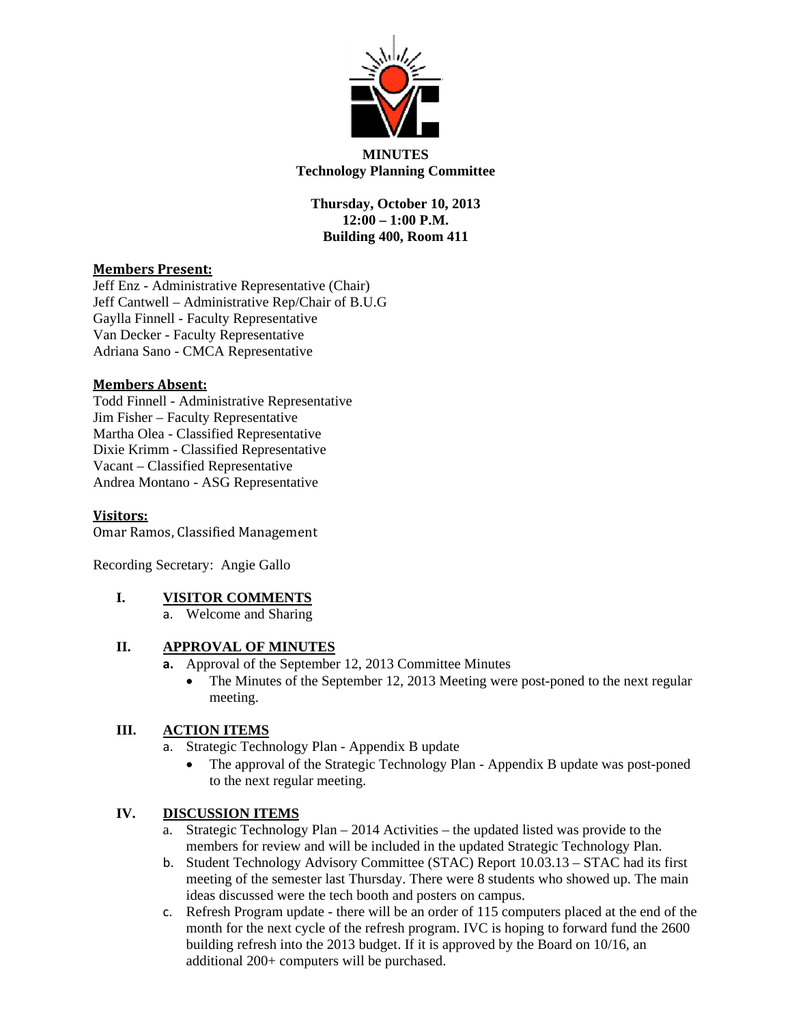

# **MINUTES Technology Planning Committee**

**Thursday, October 10, 2013 12:00 – 1:00 P.M. Building 400, Room 411** 

## **Members Present:**

Jeff Enz - Administrative Representative (Chair) Jeff Cantwell – Administrative Rep/Chair of B.U.G Gaylla Finnell - Faculty Representative Van Decker - Faculty Representative Adriana Sano - CMCA Representative

## **Members Absent:**

Todd Finnell - Administrative Representative Jim Fisher – Faculty Representative Martha Olea - Classified Representative Dixie Krimm - Classified Representative Vacant – Classified Representative Andrea Montano - ASG Representative

**Visitors:**

Omar Ramos, Classified Management

Recording Secretary: Angie Gallo

#### **I. VISITOR COMMENTS**

a. Welcome and Sharing

## **II. APPROVAL OF MINUTES**

- **a.** Approval of the September 12, 2013 Committee Minutes
	- The Minutes of the September 12, 2013 Meeting were post-poned to the next regular meeting.

# **III. ACTION ITEMS**

- a. Strategic Technology Plan Appendix B update
	- The approval of the Strategic Technology Plan Appendix B update was post-poned to the next regular meeting.

#### **IV. DISCUSSION ITEMS**

- a. Strategic Technology Plan 2014 Activities the updated listed was provide to the members for review and will be included in the updated Strategic Technology Plan.
- b. Student Technology Advisory Committee (STAC) Report 10.03.13 STAC had its first meeting of the semester last Thursday. There were 8 students who showed up. The main ideas discussed were the tech booth and posters on campus.
- c. Refresh Program update there will be an order of 115 computers placed at the end of the month for the next cycle of the refresh program. IVC is hoping to forward fund the 2600 building refresh into the 2013 budget. If it is approved by the Board on 10/16, an additional 200+ computers will be purchased.